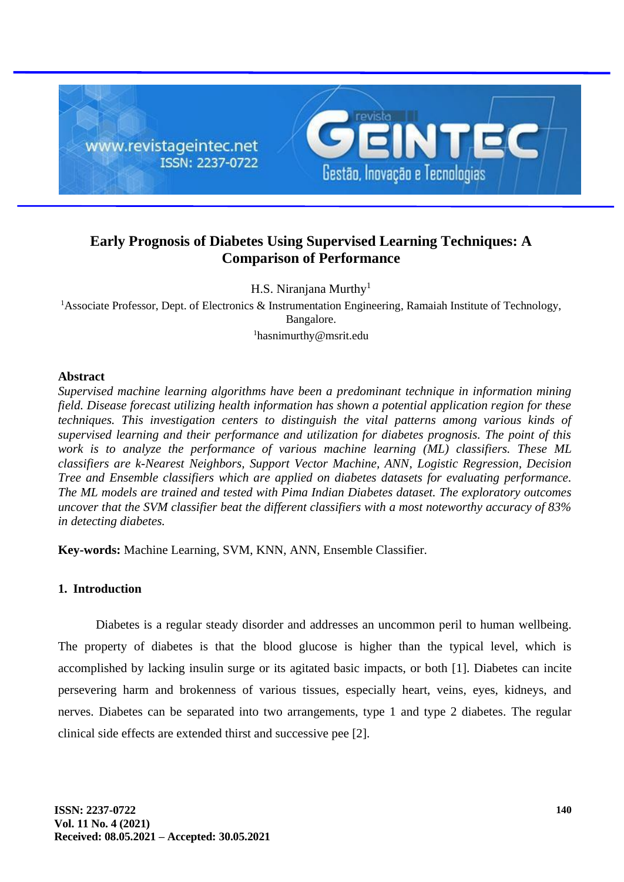

## **Early Prognosis of Diabetes Using Supervised Learning Techniques: A Comparison of Performance**

H.S. Niranjana Murthy<sup>1</sup>

<sup>1</sup>Associate Professor, Dept. of Electronics & Instrumentation Engineering, Ramaiah Institute of Technology, Bangalore.

<sup>1</sup>hasnimurthy@msrit.edu

### **Abstract**

*Supervised machine learning algorithms have been a predominant technique in information mining field. Disease forecast utilizing health information has shown a potential application region for these techniques. This investigation centers to distinguish the vital patterns among various kinds of supervised learning and their performance and utilization for diabetes prognosis. The point of this work is to analyze the performance of various machine learning (ML) classifiers. These ML classifiers are k-Nearest Neighbors, Support Vector Machine, ANN, Logistic Regression, Decision Tree and Ensemble classifiers which are applied on diabetes datasets for evaluating performance. The ML models are trained and tested with Pima Indian Diabetes dataset. The exploratory outcomes uncover that the SVM classifier beat the different classifiers with a most noteworthy accuracy of 83% in detecting diabetes.*

**Key-words:** Machine Learning, SVM, KNN, ANN, Ensemble Classifier.

### **1. Introduction**

Diabetes is a regular steady disorder and addresses an uncommon peril to human wellbeing. The property of diabetes is that the blood glucose is higher than the typical level, which is accomplished by lacking insulin surge or its agitated basic impacts, or both [1]. Diabetes can incite persevering harm and brokenness of various tissues, especially heart, veins, eyes, kidneys, and nerves. Diabetes can be separated into two arrangements, type 1 and type 2 diabetes. The regular clinical side effects are extended thirst and successive pee [2].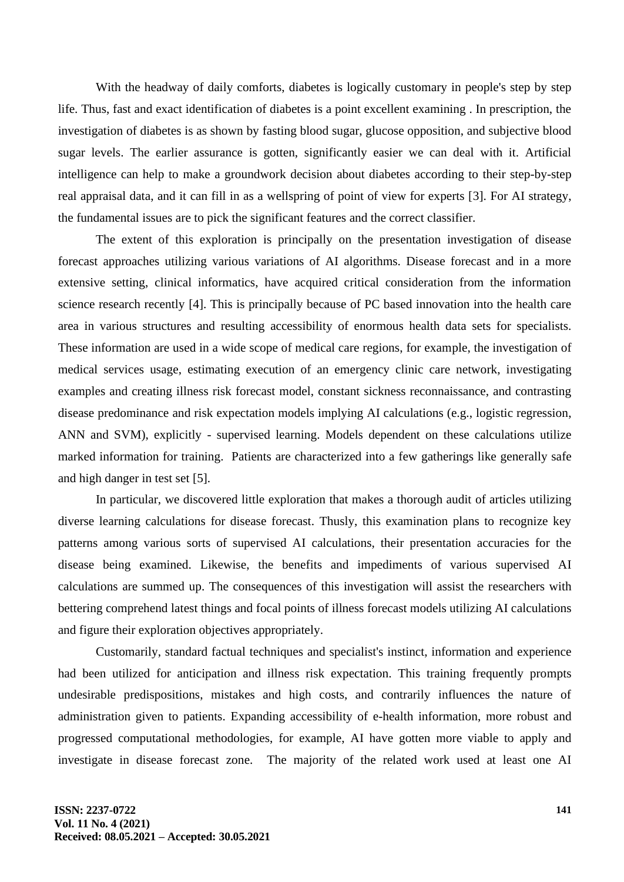With the headway of daily comforts, diabetes is logically customary in people's step by step life. Thus, fast and exact identification of diabetes is a point excellent examining . In prescription, the investigation of diabetes is as shown by fasting blood sugar, glucose opposition, and subjective blood sugar levels. The earlier assurance is gotten, significantly easier we can deal with it. Artificial intelligence can help to make a groundwork decision about diabetes according to their step-by-step real appraisal data, and it can fill in as a wellspring of point of view for experts [3]. For AI strategy, the fundamental issues are to pick the significant features and the correct classifier.

The extent of this exploration is principally on the presentation investigation of disease forecast approaches utilizing various variations of AI algorithms. Disease forecast and in a more extensive setting, clinical informatics, have acquired critical consideration from the information science research recently [4]. This is principally because of PC based innovation into the health care area in various structures and resulting accessibility of enormous health data sets for specialists. These information are used in a wide scope of medical care regions, for example, the investigation of medical services usage, estimating execution of an emergency clinic care network, investigating examples and creating illness risk forecast model, constant sickness reconnaissance, and contrasting disease predominance and risk expectation models implying AI calculations (e.g., logistic regression, ANN and SVM), explicitly - supervised learning. Models dependent on these calculations utilize marked information for training. Patients are characterized into a few gatherings like generally safe and high danger in test set [5].

In particular, we discovered little exploration that makes a thorough audit of articles utilizing diverse learning calculations for disease forecast. Thusly, this examination plans to recognize key patterns among various sorts of supervised AI calculations, their presentation accuracies for the disease being examined. Likewise, the benefits and impediments of various supervised AI calculations are summed up. The consequences of this investigation will assist the researchers with bettering comprehend latest things and focal points of illness forecast models utilizing AI calculations and figure their exploration objectives appropriately.

Customarily, standard factual techniques and specialist's instinct, information and experience had been utilized for anticipation and illness risk expectation. This training frequently prompts undesirable predispositions, mistakes and high costs, and contrarily influences the nature of administration given to patients. Expanding accessibility of e-health information, more robust and progressed computational methodologies, for example, AI have gotten more viable to apply and investigate in disease forecast zone. The majority of the related work used at least one AI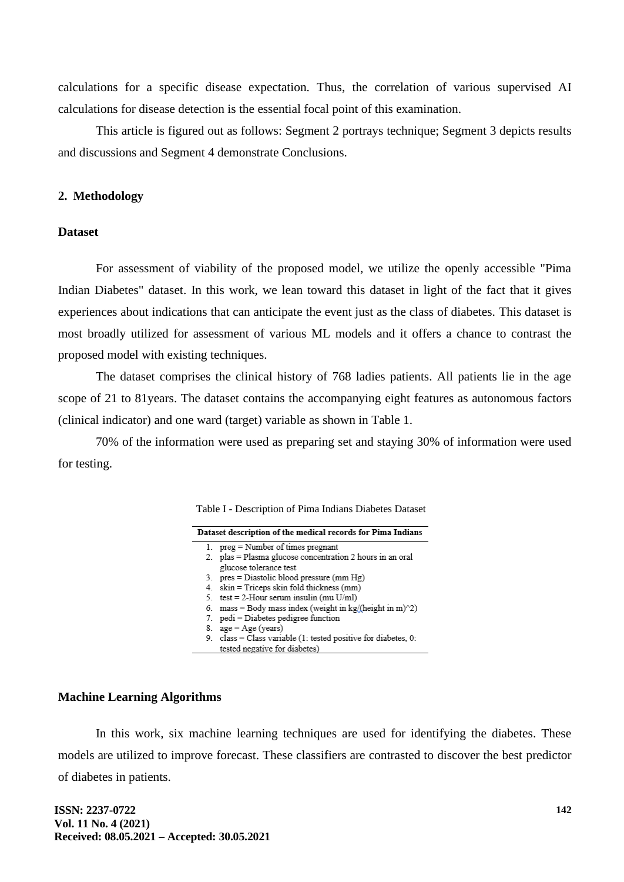calculations for a specific disease expectation. Thus, the correlation of various supervised AI calculations for disease detection is the essential focal point of this examination.

This article is figured out as follows: Segment 2 portrays technique; Segment 3 depicts results and discussions and Segment 4 demonstrate Conclusions.

### **2. Methodology**

### **Dataset**

For assessment of viability of the proposed model, we utilize the openly accessible "Pima Indian Diabetes" dataset. In this work, we lean toward this dataset in light of the fact that it gives experiences about indications that can anticipate the event just as the class of diabetes. This dataset is most broadly utilized for assessment of various ML models and it offers a chance to contrast the proposed model with existing techniques.

The dataset comprises the clinical history of 768 ladies patients. All patients lie in the age scope of 21 to 81years. The dataset contains the accompanying eight features as autonomous factors (clinical indicator) and one ward (target) variable as shown in Table 1.

70% of the information were used as preparing set and staying 30% of information were used for testing.

| Dataset description of the medical records for Pima Indians |                                                                  |  |  |  |
|-------------------------------------------------------------|------------------------------------------------------------------|--|--|--|
|                                                             | 1. $preg = Number of times pregnant$                             |  |  |  |
|                                                             | 2. plas = Plasma glucose concentration 2 hours in an oral        |  |  |  |
|                                                             | glucose tolerance test                                           |  |  |  |
| 3.                                                          | $pres = Diastolic blood pressure (mm Hg)$                        |  |  |  |
| 4.                                                          | $skin = Triceps$ skin fold thickness $(mm)$                      |  |  |  |
| 5.                                                          | test = 2-Hour serum insulin (mu $U/ml$ )                         |  |  |  |
| 6.                                                          | mass = Body mass index (weight in $kg/(height in m)^2)$ )        |  |  |  |
| 7.                                                          | pedi = Diabetes pedigree function                                |  |  |  |
| 8.                                                          | $age = Age (years)$                                              |  |  |  |
|                                                             | 9. $class = Class variable (1: tested positive for diabetes, 0:$ |  |  |  |
|                                                             | tested negative for diabetes)                                    |  |  |  |

# Table I - Description of Pima Indians Diabetes Dataset

### **Machine Learning Algorithms**

In this work, six machine learning techniques are used for identifying the diabetes. These models are utilized to improve forecast. These classifiers are contrasted to discover the best predictor of diabetes in patients.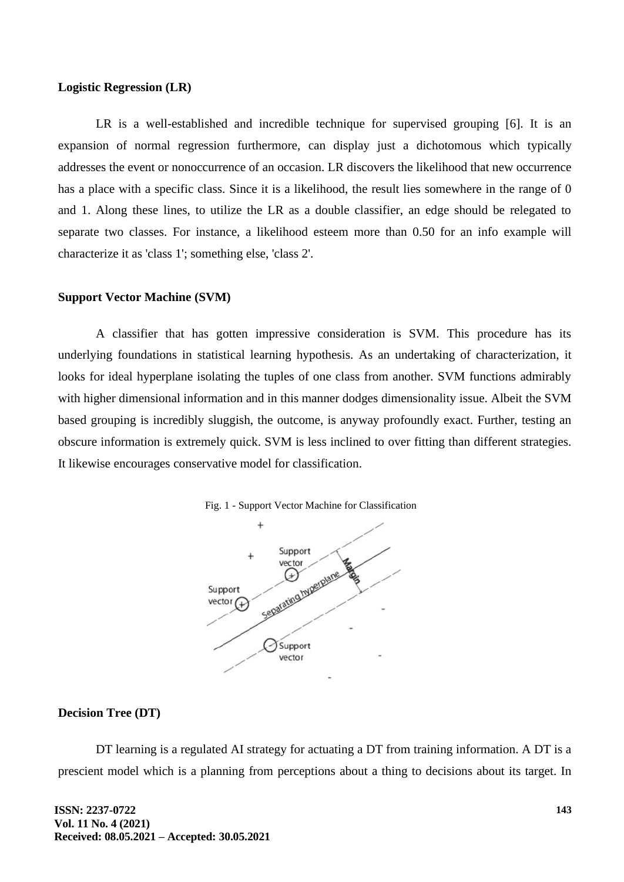### **Logistic Regression (LR)**

LR is a well-established and incredible technique for supervised grouping [6]. It is an expansion of normal regression furthermore, can display just a dichotomous which typically addresses the event or nonoccurrence of an occasion. LR discovers the likelihood that new occurrence has a place with a specific class. Since it is a likelihood, the result lies somewhere in the range of 0 and 1. Along these lines, to utilize the LR as a double classifier, an edge should be relegated to separate two classes. For instance, a likelihood esteem more than 0.50 for an info example will characterize it as 'class 1'; something else, 'class 2'.

### **Support Vector Machine (SVM)**

A classifier that has gotten impressive consideration is SVM. This procedure has its underlying foundations in statistical learning hypothesis. As an undertaking of characterization, it looks for ideal hyperplane isolating the tuples of one class from another. SVM functions admirably with higher dimensional information and in this manner dodges dimensionality issue. Albeit the SVM based grouping is incredibly sluggish, the outcome, is anyway profoundly exact. Further, testing an obscure information is extremely quick. SVM is less inclined to over fitting than different strategies. It likewise encourages conservative model for classification.



### **Decision Tree (DT)**

DT learning is a regulated AI strategy for actuating a DT from training information. A DT is a prescient model which is a planning from perceptions about a thing to decisions about its target. In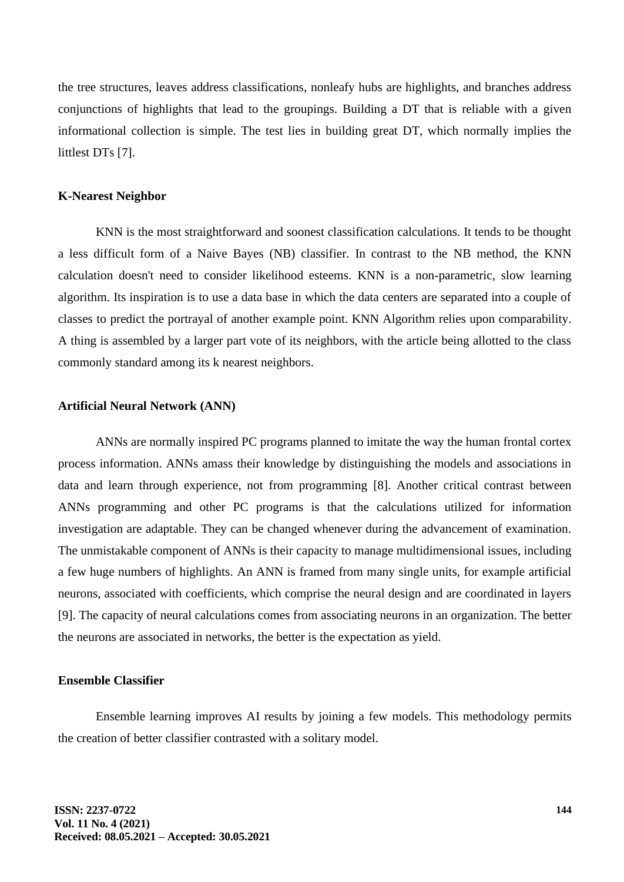the tree structures, leaves address classifications, nonleafy hubs are highlights, and branches address conjunctions of highlights that lead to the groupings. Building a DT that is reliable with a given informational collection is simple. The test lies in building great DT, which normally implies the littlest DTs [7].

### **K-Nearest Neighbor**

KNN is the most straightforward and soonest classification calculations. It tends to be thought a less difficult form of a Naive Bayes (NB) classifier. In contrast to the NB method, the KNN calculation doesn't need to consider likelihood esteems. KNN is a non-parametric, slow learning algorithm. Its inspiration is to use a data base in which the data centers are separated into a couple of classes to predict the portrayal of another example point. KNN Algorithm relies upon comparability. A thing is assembled by a larger part vote of its neighbors, with the article being allotted to the class commonly standard among its k nearest neighbors.

### **Artificial Neural Network (ANN)**

ANNs are normally inspired PC programs planned to imitate the way the human frontal cortex process information. ANNs amass their knowledge by distinguishing the models and associations in data and learn through experience, not from programming [8]. Another critical contrast between ANNs programming and other PC programs is that the calculations utilized for information investigation are adaptable. They can be changed whenever during the advancement of examination. The unmistakable component of ANNs is their capacity to manage multidimensional issues, including a few huge numbers of highlights. An ANN is framed from many single units, for example artificial neurons, associated with coefficients, which comprise the neural design and are coordinated in layers [9]. The capacity of neural calculations comes from associating neurons in an organization. The better the neurons are associated in networks, the better is the expectation as yield.

### **Ensemble Classifier**

Ensemble learning improves AI results by joining a few models. This methodology permits the creation of better classifier contrasted with a solitary model.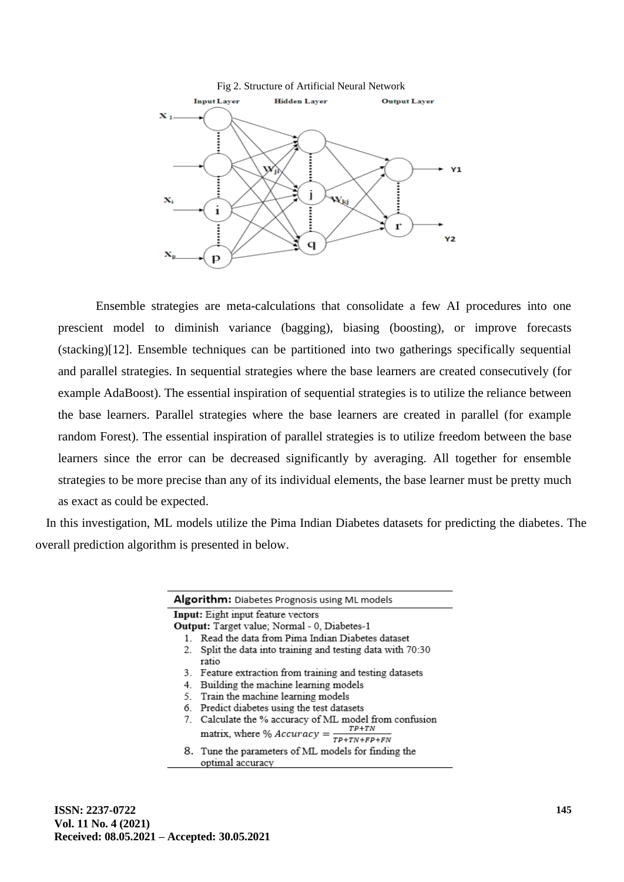



Ensemble strategies are meta-calculations that consolidate a few AI procedures into one prescient model to diminish variance (bagging), biasing (boosting), or improve forecasts (stacking)[12]. Ensemble techniques can be partitioned into two gatherings specifically sequential and parallel strategies. In sequential strategies where the base learners are created consecutively (for example AdaBoost). The essential inspiration of sequential strategies is to utilize the reliance between the base learners. Parallel strategies where the base learners are created in parallel (for example random Forest). The essential inspiration of parallel strategies is to utilize freedom between the base learners since the error can be decreased significantly by averaging. All together for ensemble strategies to be more precise than any of its individual elements, the base learner must be pretty much as exact as could be expected.

In this investigation, ML models utilize the Pima Indian Diabetes datasets for predicting the diabetes. The overall prediction algorithm is presented in below.

| Algorithm: Diabetes Prognosis using ML models |                                                                |  |  |  |
|-----------------------------------------------|----------------------------------------------------------------|--|--|--|
| Input: Eight input feature vectors            |                                                                |  |  |  |
| Output: Target value; Normal - 0, Diabetes-1  |                                                                |  |  |  |
|                                               | Read the data from Pima Indian Diabetes dataset                |  |  |  |
|                                               | Split the data into training and testing data with 70:30<br>2. |  |  |  |
|                                               | ratio                                                          |  |  |  |
|                                               | 3. Feature extraction from training and testing datasets       |  |  |  |
| 4.                                            | Building the machine learning models                           |  |  |  |
|                                               | 5. Train the machine learning models                           |  |  |  |
|                                               | 6. Predict diabetes using the test datasets                    |  |  |  |
|                                               | 7. Calculate the % accuracy of ML model from confusion         |  |  |  |
|                                               | matrix, where % $Accuracy = \frac{1}{TP+TN+FP+FN}$             |  |  |  |
|                                               |                                                                |  |  |  |
|                                               | 8. Tune the parameters of ML models for finding the            |  |  |  |
|                                               | optimal accuracy                                               |  |  |  |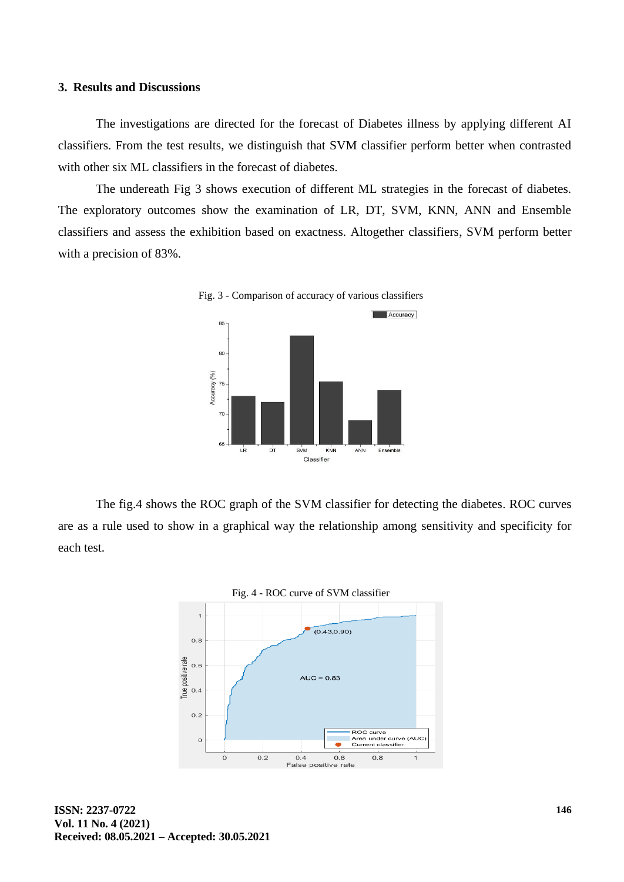### **3. Results and Discussions**

The investigations are directed for the forecast of Diabetes illness by applying different AI classifiers. From the test results, we distinguish that SVM classifier perform better when contrasted with other six ML classifiers in the forecast of diabetes.

The undereath Fig 3 shows execution of different ML strategies in the forecast of diabetes. The exploratory outcomes show the examination of LR, DT, SVM, KNN, ANN and Ensemble classifiers and assess the exhibition based on exactness. Altogether classifiers, SVM perform better with a precision of 83%.



The fig.4 shows the ROC graph of the SVM classifier for detecting the diabetes. ROC curves are as a rule used to show in a graphical way the relationship among sensitivity and specificity for each test.

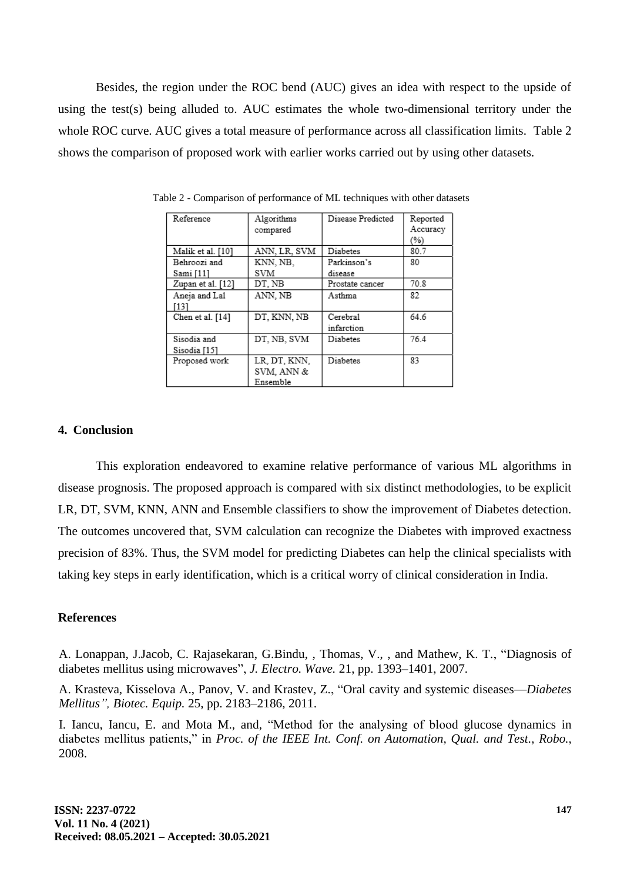Besides, the region under the ROC bend (AUC) gives an idea with respect to the upside of using the test(s) being alluded to. AUC estimates the whole two-dimensional territory under the whole ROC curve. AUC gives a total measure of performance across all classification limits. Table 2 shows the comparison of proposed work with earlier works carried out by using other datasets.

| Reference         | Algorithms<br>compared | Disease Predicted | Reported<br>Accuracy |
|-------------------|------------------------|-------------------|----------------------|
|                   |                        |                   | (%)                  |
| Malik et al. [10] | ANN. LR. SVM           | Diabetes          | 80.7                 |
| Behroozi and      | KNN, NB,               | Parkinson's       | 80                   |
| Sami [11]         | SVM                    | disease           |                      |
| Zupan et al. [12] | DT. NB                 | Prostate cancer   | 70.8                 |
| Aneja and Lal     | ANN, NB                | Asthma            | 82                   |
| [13]              |                        |                   |                      |
| Chen et al. [14]  | DT, KNN, NB            | Cerebral          | 64.6                 |
|                   |                        | infarction        |                      |
| Sisodia and       | DT. NB. SVM            | Diabetes          | 76.4                 |
| Sisodia [15]      |                        |                   |                      |
| Proposed work     | LR, DT, KNN,           | <b>Diabetes</b>   | 83                   |
|                   | SVM, ANN &             |                   |                      |
|                   | Ensemble               |                   |                      |

Table 2 - Comparison of performance of ML techniques with other datasets

### **4. Conclusion**

This exploration endeavored to examine relative performance of various ML algorithms in disease prognosis. The proposed approach is compared with six distinct methodologies, to be explicit LR, DT, SVM, KNN, ANN and Ensemble classifiers to show the improvement of Diabetes detection. The outcomes uncovered that, SVM calculation can recognize the Diabetes with improved exactness precision of 83%. Thus, the SVM model for predicting Diabetes can help the clinical specialists with taking key steps in early identification, which is a critical worry of clinical consideration in India.

### **References**

A. Lonappan, J.Jacob, C. Rajasekaran, G.Bindu, , Thomas, V., , and Mathew, K. T., "Diagnosis of diabetes mellitus using microwaves", *J. Electro. Wave.* 21, pp. 1393–1401, 2007.

A. Krasteva, Kisselova A., Panov, V. and Krastev, Z., "Oral cavity and systemic diseases—*Diabetes Mellitus", Biotec. Equip.* 25, pp. 2183–2186, 2011.

I. Iancu, Iancu, E. and Mota M., and, "Method for the analysing of blood glucose dynamics in diabetes mellitus patients," in *Proc. of the IEEE Int. Conf. on Automation, Qual. and Test., Robo.,* 2008.